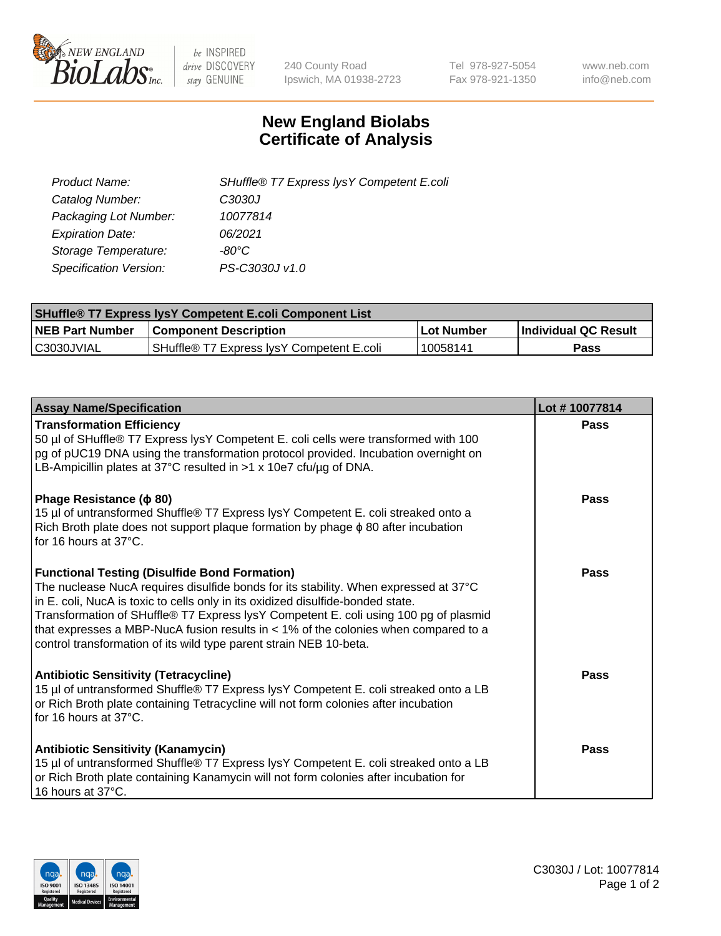

 $be$  INSPIRED drive DISCOVERY stay GENUINE

240 County Road Ipswich, MA 01938-2723 Tel 978-927-5054 Fax 978-921-1350 www.neb.com info@neb.com

## **New England Biolabs Certificate of Analysis**

| Product Name:                 | SHuffle® T7 Express lysY Competent E.coli |
|-------------------------------|-------------------------------------------|
| Catalog Number:               | C3030J                                    |
| Packaging Lot Number:         | 10077814                                  |
| <b>Expiration Date:</b>       | 06/2021                                   |
| Storage Temperature:          | -80°C                                     |
| <b>Specification Version:</b> | PS-C3030J v1.0                            |

| <b>SHuffle<sup>®</sup> T7 Express lysY Competent E.coli Component List</b> |                                           |              |                      |  |
|----------------------------------------------------------------------------|-------------------------------------------|--------------|----------------------|--|
| <b>NEB Part Number</b>                                                     | <b>Component Description</b>              | l Lot Number | Individual QC Result |  |
| IC3030JVIAL                                                                | SHuffle® T7 Express IvsY Competent E.coli | ' 10058141   | <b>Pass</b>          |  |

| <b>Assay Name/Specification</b>                                                                                                                                                                                                                                                                                                                                                                                                                                                        | Lot #10077814 |
|----------------------------------------------------------------------------------------------------------------------------------------------------------------------------------------------------------------------------------------------------------------------------------------------------------------------------------------------------------------------------------------------------------------------------------------------------------------------------------------|---------------|
| <b>Transformation Efficiency</b><br>50 µl of SHuffle® T7 Express lysY Competent E. coli cells were transformed with 100<br>pg of pUC19 DNA using the transformation protocol provided. Incubation overnight on<br>LB-Ampicillin plates at 37°C resulted in $>1 \times 10e7$ cfu/ug of DNA.                                                                                                                                                                                             | Pass          |
| Phage Resistance ( $\phi$ 80)<br>15 µl of untransformed Shuffle® T7 Express lysY Competent E. coli streaked onto a<br>Rich Broth plate does not support plaque formation by phage $\phi$ 80 after incubation<br>for 16 hours at 37°C.                                                                                                                                                                                                                                                  | Pass          |
| <b>Functional Testing (Disulfide Bond Formation)</b><br>The nuclease NucA requires disulfide bonds for its stability. When expressed at 37°C<br>in E. coli, NucA is toxic to cells only in its oxidized disulfide-bonded state.<br>Transformation of SHuffle® T7 Express lysY Competent E. coli using 100 pg of plasmid<br>that expresses a MBP-NucA fusion results in $<$ 1% of the colonies when compared to a<br>control transformation of its wild type parent strain NEB 10-beta. | Pass          |
| <b>Antibiotic Sensitivity (Tetracycline)</b><br>15 µl of untransformed Shuffle® T7 Express lysY Competent E. coli streaked onto a LB<br>or Rich Broth plate containing Tetracycline will not form colonies after incubation<br>for 16 hours at 37°C.                                                                                                                                                                                                                                   | Pass          |
| <b>Antibiotic Sensitivity (Kanamycin)</b><br>15 µl of untransformed Shuffle® T7 Express lysY Competent E. coli streaked onto a LB<br>or Rich Broth plate containing Kanamycin will not form colonies after incubation for<br>16 hours at 37°C.                                                                                                                                                                                                                                         | Pass          |